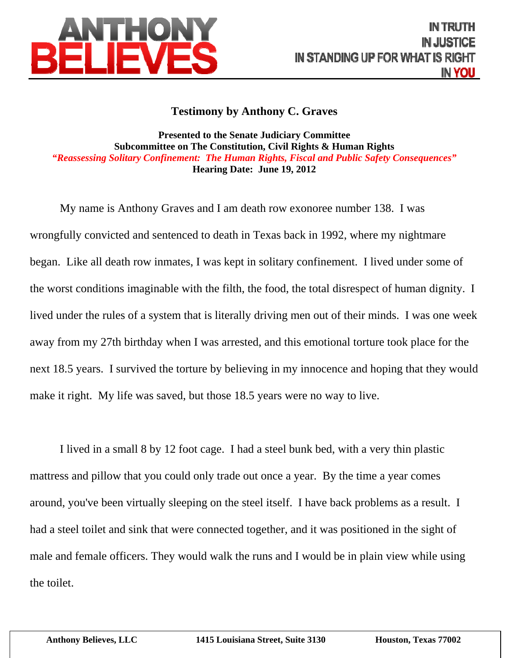

## **Testimony by Anthony C. Graves**

**Presented to the Senate Judiciary Committee Subcommittee on The Constitution, Civil Rights & Human Rights**  *"Reassessing Solitary Confinement: The Human Rights, Fiscal and Public Safety Consequences"* **Hearing Date: June 19, 2012** 

My name is Anthony Graves and I am death row exonoree number 138. I was wrongfully convicted and sentenced to death in Texas back in 1992, where my nightmare began. Like all death row inmates, I was kept in solitary confinement. I lived under some of the worst conditions imaginable with the filth, the food, the total disrespect of human dignity. I lived under the rules of a system that is literally driving men out of their minds. I was one week away from my 27th birthday when I was arrested, and this emotional torture took place for the next 18.5 years. I survived the torture by believing in my innocence and hoping that they would make it right. My life was saved, but those 18.5 years were no way to live.

I lived in a small 8 by 12 foot cage. I had a steel bunk bed, with a very thin plastic mattress and pillow that you could only trade out once a year. By the time a year comes around, you've been virtually sleeping on the steel itself. I have back problems as a result. I had a steel toilet and sink that were connected together, and it was positioned in the sight of male and female officers. They would walk the runs and I would be in plain view while using the toilet.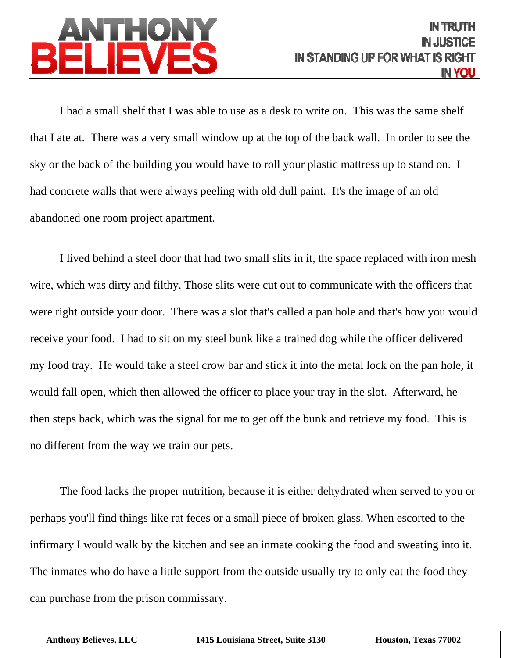

I had a small shelf that I was able to use as a desk to write on. This was the same shelf that I ate at. There was a very small window up at the top of the back wall. In order to see the sky or the back of the building you would have to roll your plastic mattress up to stand on. I had concrete walls that were always peeling with old dull paint. It's the image of an old abandoned one room project apartment.

I lived behind a steel door that had two small slits in it, the space replaced with iron mesh wire, which was dirty and filthy. Those slits were cut out to communicate with the officers that were right outside your door. There was a slot that's called a pan hole and that's how you would receive your food. I had to sit on my steel bunk like a trained dog while the officer delivered my food tray. He would take a steel crow bar and stick it into the metal lock on the pan hole, it would fall open, which then allowed the officer to place your tray in the slot. Afterward, he then steps back, which was the signal for me to get off the bunk and retrieve my food. This is no different from the way we train our pets.

The food lacks the proper nutrition, because it is either dehydrated when served to you or perhaps you'll find things like rat feces or a small piece of broken glass. When escorted to the infirmary I would walk by the kitchen and see an inmate cooking the food and sweating into it. The inmates who do have a little support from the outside usually try to only eat the food they can purchase from the prison commissary.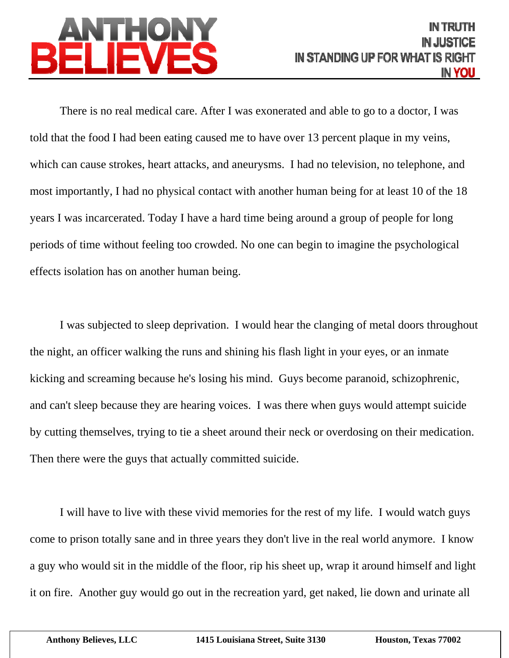

There is no real medical care. After I was exonerated and able to go to a doctor, I was told that the food I had been eating caused me to have over 13 percent plaque in my veins, which can cause strokes, heart attacks, and aneurysms. I had no television, no telephone, and most importantly, I had no physical contact with another human being for at least 10 of the 18 years I was incarcerated. Today I have a hard time being around a group of people for long periods of time without feeling too crowded. No one can begin to imagine the psychological effects isolation has on another human being.

I was subjected to sleep deprivation. I would hear the clanging of metal doors throughout the night, an officer walking the runs and shining his flash light in your eyes, or an inmate kicking and screaming because he's losing his mind. Guys become paranoid, schizophrenic, and can't sleep because they are hearing voices. I was there when guys would attempt suicide by cutting themselves, trying to tie a sheet around their neck or overdosing on their medication. Then there were the guys that actually committed suicide.

I will have to live with these vivid memories for the rest of my life. I would watch guys come to prison totally sane and in three years they don't live in the real world anymore. I know a guy who would sit in the middle of the floor, rip his sheet up, wrap it around himself and light it on fire. Another guy would go out in the recreation yard, get naked, lie down and urinate all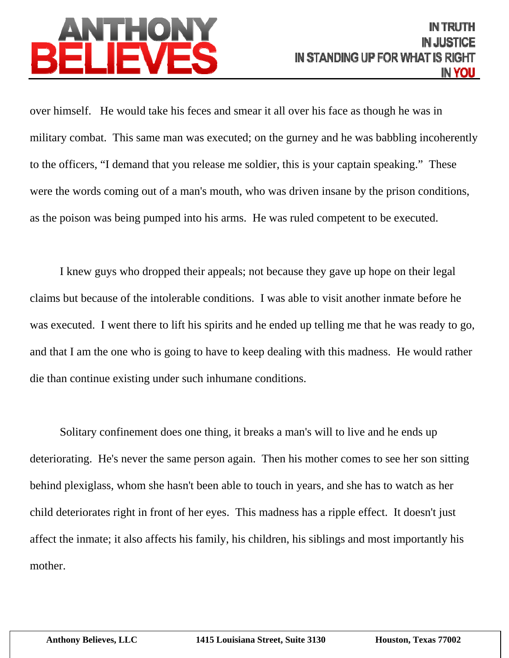## 

over himself. He would take his feces and smear it all over his face as though he was in military combat. This same man was executed; on the gurney and he was babbling incoherently to the officers, "I demand that you release me soldier, this is your captain speaking." These were the words coming out of a man's mouth, who was driven insane by the prison conditions, as the poison was being pumped into his arms. He was ruled competent to be executed.

I knew guys who dropped their appeals; not because they gave up hope on their legal claims but because of the intolerable conditions. I was able to visit another inmate before he was executed. I went there to lift his spirits and he ended up telling me that he was ready to go, and that I am the one who is going to have to keep dealing with this madness. He would rather die than continue existing under such inhumane conditions.

Solitary confinement does one thing, it breaks a man's will to live and he ends up deteriorating. He's never the same person again. Then his mother comes to see her son sitting behind plexiglass, whom she hasn't been able to touch in years, and she has to watch as her child deteriorates right in front of her eyes. This madness has a ripple effect. It doesn't just affect the inmate; it also affects his family, his children, his siblings and most importantly his mother.